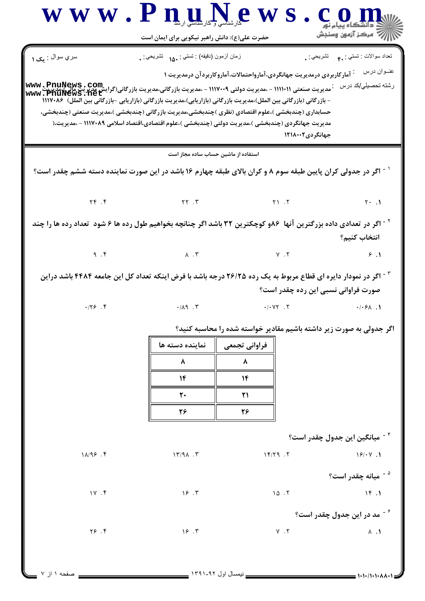www.PnuNews.com ريسمبرس<br>السابقة - مركز آزمون وسنڊش حضرت علی(ع): دانش راهبر نیکویی برای ایمان است سري سوال : مک ۱ نعداد سوالات : تستبي : ٩.٠ تشريحي : . زمان أزمون (دقيقه) : تستي : ۱۸۰ نشريحي : . عنــوان در سه پامار کاربردی درمدیریت جهانگردی،آمارواحتمالات،آماروکاربردآن درمدیریت ۱ www.PhuNews.net - بازرگانی (بازرگانی بین الملل)،مدیریت بازرگانی (بازاریابی)،مدیریت بازرگانی (بازاریابی -بازرگانی بین الملل) ۱۱۱۷۰۸۶ حسابداري (چندېخشي )،علوم اقتصادي (نظري )چندېخشي،مديريت بازرگاني (چندېخشي )،مديريت صنعتي (چندېخشي، مدیریت جهانگردی (چندبخشی )،مدیریت دولتی (چندبخشی )،علوم اقتصادی،اقتصاد اسلامی ۱۱۱۷۰۸۹ - ،مدیریت،( جهانگر دی ۱۲۱۸۰۰۲ استفاده از ماشین حساب ساده مجاز است <sup>۱ -</sup> اگر در جدولی کران پایین طبقه سوم ۸ و کران بالای طبقه چهارم ۱۶ باشد در این صورت نماینده دسته ششم چقدر است؟  $Yf$ .  $f$  $YY.7$  $Y1.7$  $Y \cdot \cdot \cdot$ <sup>۲ -</sup> اگر در تعدادی داده بزرگترین آنها ۸۶و کوچکترین ۳۲ باشد اگر چنانچه بخواهیم طول رده ها ۶ شود تعداد رده ها را چند انتخاب كنىم؟  $9.7$  $\Lambda$  .  $\Upsilon$  $Y \cdot Y$  $9.1$ <sup>۳ -</sup> اگر در نمودار دایره ای قطاع مربوط به یک رده ۲۶/۲۵ درجه باشد با فرض اینکه تعداد کل این جامعه ۴۴۸۴ باشد دراین صورت فراوانی نسبی این رده چقدر است؟  $.179.9$  $.1 - VY$ .  $\cdot$   $/$   $\Lambda$ 9  $\cdot$   $\Upsilon$  $.1.5A.1$ اگر جدولی به صورت زیر داشته باشیم مقادیر خواسته شده را محاسبه کنید؟ نماينده دسته ها فراواني تجمعي ۸ ٨  $\mathcal{N}$  $\mathcal{N}$ ٢٠  $\mathsf{r}$ 28 38 <sup>۴ -</sup> میانگین این جدول چقدر است؟  $11/95.9$  $17/91.7$  $15/79.7$  $18/14$ <sup>ه -</sup> ميانه چقدر است؟  $1Y. f$  $15.7$  $10.7$  $15.1$ <sup>۶ -</sup> مد در این جدول چقدر است؟  $Y5.9$  $15.7$  $Y \cdot Y$  $\lambda$  .  $\lambda$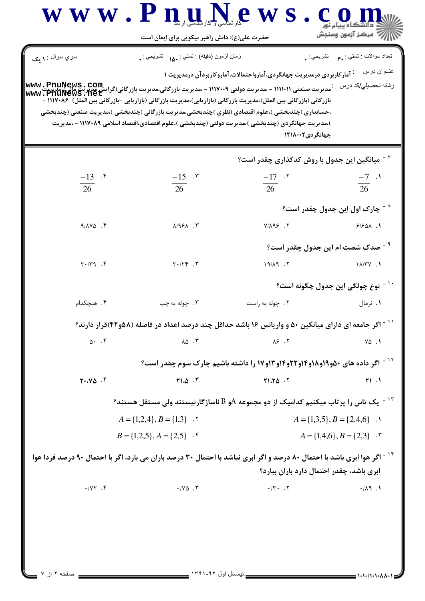| سري سوال : ۱ مک               | زمان أزمون (دقيقه) : تستى : .16 نشريحي : .                                                                                                                                                                                                                                                                                                                                                                                                                                    |                                                                                         | تعداد سوالات : تستي : <sub>. ۴</sub> تشريحي : <sub>.</sub> |
|-------------------------------|-------------------------------------------------------------------------------------------------------------------------------------------------------------------------------------------------------------------------------------------------------------------------------------------------------------------------------------------------------------------------------------------------------------------------------------------------------------------------------|-----------------------------------------------------------------------------------------|------------------------------------------------------------|
|                               |                                                                                                                                                                                                                                                                                                                                                                                                                                                                               | <sup>:</sup> آمار کاربردی درمدیریت جهانگردی،آمارواحتمالات،آماروکاربردآن درمدیریت ۱      | عنــوان درس                                                |
|                               | .<br>- مدیریت صنعتی ۱۱۱۱۰۱۱ - ،مدیریت دولتی ۱۱۱۷۰۰۹ - ،مدیریت بازرگانی،مدیریت بازرگانی(گرایشا که یویسی ۱۲۹۱۱۰۱ - ۱<br>WWW • PIIUNEWS • ILE L<br>بازرگانی (بازرگانی بین الملل)،مدیریت بازرگانی (بازاریابی)،مدیریت بازرگانی (بازاریابی –بازرگانی بین الملل) ۱۱۱۷۰۸۶ –<br>،حسابداری (چندبخشی )،علوم اقتصادی (نظری )چندبخشی،مدیریت بازرگانی (چندبخشی )،مدیریت صنعتی (چندبخشی<br>)،مدیریت جهانگردی (چندبخشی )،مدیریت دولتی (چندبخشی )،علوم اقتصادی،اقتصاد اسلامی ۱۱۱۷۰۸۹ - ،مدیریت | جهانگردی۲۱۸۰۰۲                                                                          | رشته تحصيلي/كد درس                                         |
|                               |                                                                                                                                                                                                                                                                                                                                                                                                                                                                               | میانگین این جدول با روش کدگذاری چقدر است؟ $^{\vee}$                                     |                                                            |
| $\frac{-13}{26}$ .*           | $\frac{-15}{26}$ . $\degree$                                                                                                                                                                                                                                                                                                                                                                                                                                                  | $\frac{-17}{26}$ . <sup>7</sup>                                                         | $\frac{-7}{26}$ .                                          |
|                               |                                                                                                                                                                                                                                                                                                                                                                                                                                                                               |                                                                                         |                                                            |
|                               |                                                                                                                                                                                                                                                                                                                                                                                                                                                                               |                                                                                         | <sup>^ -</sup> چارک اول این جدول چقدر است؟                 |
| $9/AY\Delta$ .                | $A/95A$ . $\tilde{r}$                                                                                                                                                                                                                                                                                                                                                                                                                                                         | $Y/\lambda$ 98.7                                                                        | 9/901.1                                                    |
|                               |                                                                                                                                                                                                                                                                                                                                                                                                                                                                               |                                                                                         | <sup>- -</sup> صدک شصت ام این جدول چقدر است؟               |
| $Y \cdot / Y$ 9. F            | $Y \cdot / YY$ .                                                                                                                                                                                                                                                                                                                                                                                                                                                              | $19/\lambda9$ . $\zeta$                                                                 | 11/7V.1                                                    |
|                               |                                                                                                                                                                                                                                                                                                                                                                                                                                                                               |                                                                                         | نوع چولگی این جدول چگونه است؟                              |
| ۰۴ هیچکدام                    | ۰۳ چوله به چپ                                                                                                                                                                                                                                                                                                                                                                                                                                                                 | ۰۲ چوله به راست                                                                         | ۰۱ نرمال                                                   |
|                               | <sup>۱۱ -</sup> اگر جامعه ای دارای میانگین ۵۰ و واریانس ۱۶ باشد حداقل چند درصد اعداد در فاصله (۵۸و۴۲)قرار دارند؟                                                                                                                                                                                                                                                                                                                                                              |                                                                                         |                                                            |
| 0.4                           | $\lambda \Delta$ . ۳                                                                                                                                                                                                                                                                                                                                                                                                                                                          | $\lambda$ ۶.۲                                                                           | $Y\Delta$ .                                                |
|                               |                                                                                                                                                                                                                                                                                                                                                                                                                                                                               | <sup>۱۲ -</sup> اگر داده های ۵۰و۱۹و۱۸و۱۴و۱۲و۱۴ور۱۳وار او داشته باشیم چارک سوم چقدر است؟ |                                                            |
| $Y \cdot Y \Delta$ .          | Y1.0.7                                                                                                                                                                                                                                                                                                                                                                                                                                                                        | Y1.70.7                                                                                 | $\uparrow$ $\uparrow$ $\uparrow$                           |
|                               | $^\circ$ ا $^\circ$ یک تاس را پرتاب میکنیم کدامیک از دو مجموعه $\mathrm{A}$ و $\mathrm{B}$ ناسازگارنیستند ولی مستقل هستند $^\circ$                                                                                                                                                                                                                                                                                                                                            |                                                                                         |                                                            |
|                               | $A = \{1,2,4\}, B = \{1,3\}$ .                                                                                                                                                                                                                                                                                                                                                                                                                                                |                                                                                         | $A = \{1,3,5\}, B = \{2,4,6\}$ .                           |
|                               | $B = \{1,2,5\}, A = \{2,5\}$ .                                                                                                                                                                                                                                                                                                                                                                                                                                                |                                                                                         | $A = \{1,4,6\}, B = \{2,3\}$ .                             |
|                               | <sup>۱۴ -</sup> اگر هوا ابری باشد با احتمال ۸۰ درصد و اگر ابری نباشد با احتمال ۳۰ درصد باران می بارد، اگر با احتمال ۹۰ درصد فردا هوا                                                                                                                                                                                                                                                                                                                                          | ابری باشد، چقدر احتمال دارد باران ببارد؟                                                |                                                            |
| $\cdot$ / $\gamma \gamma$ . ۴ | $\cdot$ / $\vee$ $\circ$ $\cdot$ $\vee$                                                                                                                                                                                                                                                                                                                                                                                                                                       | $\cdot$ /۳ $\cdot$ . $\cdot$                                                            | .1.74                                                      |
|                               |                                                                                                                                                                                                                                                                                                                                                                                                                                                                               |                                                                                         |                                                            |
|                               |                                                                                                                                                                                                                                                                                                                                                                                                                                                                               |                                                                                         |                                                            |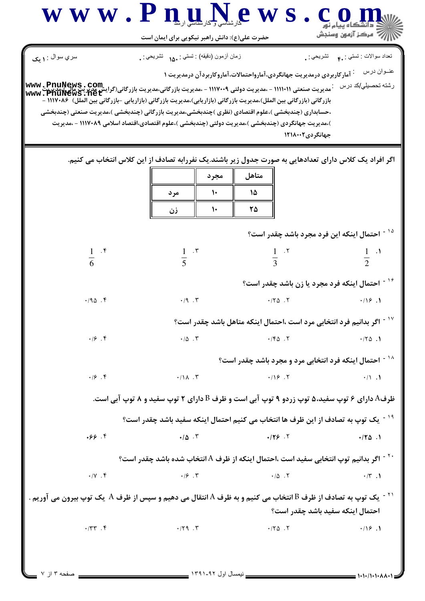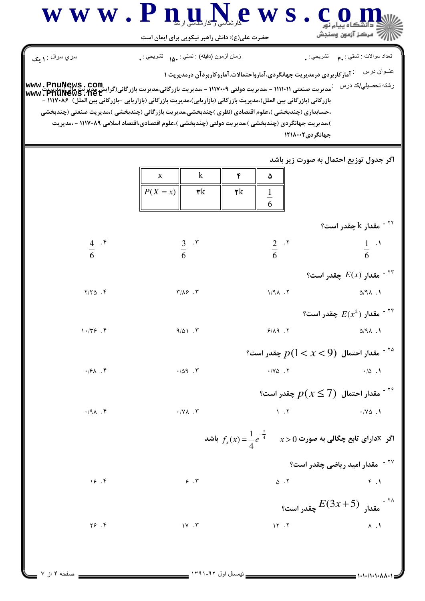|                         | حضرت علی(ع): دانش راهبر نیکویی برای ایمان است                                                                                                                                                                                                                                                                                                                                                                                                                                                |                                                                                                     | رَ ۖ مرڪز آزمون وسنڊش                                      |
|-------------------------|----------------------------------------------------------------------------------------------------------------------------------------------------------------------------------------------------------------------------------------------------------------------------------------------------------------------------------------------------------------------------------------------------------------------------------------------------------------------------------------------|-----------------------------------------------------------------------------------------------------|------------------------------------------------------------|
| سري سوال : ۱ يک         | زمان أزمون (دقيقه) : تستى : ۱۵۰ نشريحي : .                                                                                                                                                                                                                                                                                                                                                                                                                                                   |                                                                                                     | تعداد سوالات : تستي : <sub>۴</sub> ۰ نشريحي : <sub>۰</sub> |
|                         | .<br>مدیریت صنعتی ۱۱۱۱۰۱۱ - ،مدیریت دولتی ۱۱۱۷۰۰۹ - ،مدیریت بازرگانی،مدیریت بازرگانی(گرایش مدیریت ملی):مدرجیت www . PnuNews . net<br>  www . PnuNews . net<br>بازرگانی (بازرگانی بین الملل)،مدیریت بازرگانی (بازاریابی)،مدیریت بازرگانی (بازاریابی –بازرگانی بین الملل)  ۱۱۱۷۰۸۶ –<br>،حسابداری (چندبخشی )،علوم اقتصادی (نظری )چندبخشی،مدیریت بازرگانی (چندبخشی )،مدیریت صنعتی (چندبخشی<br>)،مدیریت جهانگردی (چندبخشی )،مدیریت دولتی (چندبخشی )،علوم اقتصادی،اقتصاد اسلامی ۱۱۱۷۰۸۹ - ،مدیریت | <sup>:</sup> آمارکاربردی درمدیریت جهانگردی،آمارواحتمالات،آماروکاربردآن درمدیریت ۱<br>جهانگردی۲۱۸۰۰۲ | عنــوان درس<br>رشته تحصبلي/كد درس                          |
|                         | $\mathbf k$<br>X<br>$P(X = x)$<br>$\mathbf{r}$ k                                                                                                                                                                                                                                                                                                                                                                                                                                             | ۴<br>۵<br>$\mathsf{r}\mathsf{k}$<br>$\frac{1}{6}$                                                   | اگر جدول توزیع احتمال به صورت زیر باشد                     |
|                         |                                                                                                                                                                                                                                                                                                                                                                                                                                                                                              |                                                                                                     | قدار k چقدر است؟ $^{\circ}$                                |
| $rac{4}{6}$ . f         | $rac{3}{6}$ . r                                                                                                                                                                                                                                                                                                                                                                                                                                                                              | $rac{2}{6}$ . $\frac{5}{6}$                                                                         | $rac{1}{6}$ .                                              |
|                         |                                                                                                                                                                                                                                                                                                                                                                                                                                                                                              |                                                                                                     | مقدار $E(x)$ چقدر است؟ $^{\circ}$                          |
| $Y/Y\Delta$ .           | $Y/\Lambda$ $Y$                                                                                                                                                                                                                                                                                                                                                                                                                                                                              | $1/9\lambda$ .                                                                                      | $\Delta$ /91.1                                             |
|                         |                                                                                                                                                                                                                                                                                                                                                                                                                                                                                              |                                                                                                     | °۰ مقدار $E(x^2)$ چقدر است؟                                |
| 1.199.9                 | $9/\Delta 1.7$                                                                                                                                                                                                                                                                                                                                                                                                                                                                               | 9/19.7                                                                                              | $\Delta$ /91.1                                             |
|                         |                                                                                                                                                                                                                                                                                                                                                                                                                                                                                              | $^{\circ}$ هقدار احتمال $p(1 < x < 9)$ چقدر است $^{\circ}$                                          |                                                            |
| $\cdot$ /۶ $\wedge$ . ۴ | $\cdot/\Delta$ 9.                                                                                                                                                                                                                                                                                                                                                                                                                                                                            | $\cdot$ / Y $\triangle$ . $\Upsilon$                                                                | $\cdot/\Delta$ .                                           |
|                         |                                                                                                                                                                                                                                                                                                                                                                                                                                                                                              |                                                                                                     | گا - مقدار احتمال $p(x \leq 7)$ چقدر است $^{176}$          |
| 4.191.                  | $\boldsymbol{\cdot} / \boldsymbol{\mathsf{Y}}$ . $\boldsymbol{\mathsf{Y}}$                                                                                                                                                                                                                                                                                                                                                                                                                   | 1.7                                                                                                 | $\cdot$ / Y $\triangle$ . 1                                |
|                         |                                                                                                                                                                                                                                                                                                                                                                                                                                                                                              | اگر $X$ دارای تابع چگالی به صورت $x>0$ $\frac{1}{4}$ $\frac{1}{2}e^{-\frac{x^2}{4}}$ اشد            |                                                            |
|                         |                                                                                                                                                                                                                                                                                                                                                                                                                                                                                              |                                                                                                     | <sup>۲۷ -</sup> مقدار امید ریاضی چقدر است؟                 |
| 19.7                    | $\mathcal{F}$ . $\mathcal{Y}$                                                                                                                                                                                                                                                                                                                                                                                                                                                                | $\Delta$ . $\Upsilon$                                                                               | F.1                                                        |
|                         |                                                                                                                                                                                                                                                                                                                                                                                                                                                                                              |                                                                                                     | تار $E(3x+5)$ چقدر است؟ $^{114}$                           |
| Y5.9                    | $1Y \cdot Y$                                                                                                                                                                                                                                                                                                                                                                                                                                                                                 | 15.7                                                                                                | $\Lambda$ . $\Lambda$                                      |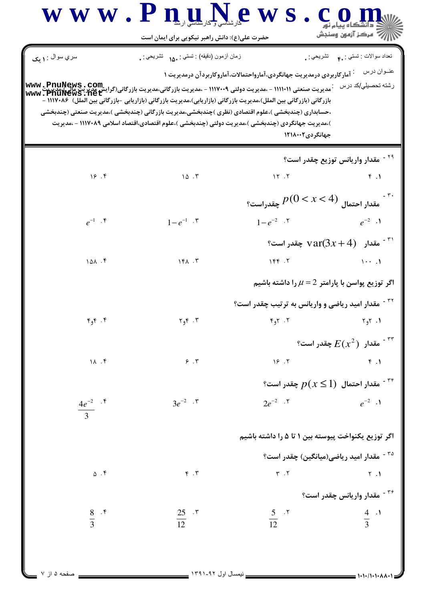|                                     | حضرت علی(ع): دانش راهبر نیکویی برای ایمان است                                                                                                                                                                                                                                                                                 |                                                                                    | أأأأ مركز آزمون وسنجش                                                                    |
|-------------------------------------|-------------------------------------------------------------------------------------------------------------------------------------------------------------------------------------------------------------------------------------------------------------------------------------------------------------------------------|------------------------------------------------------------------------------------|------------------------------------------------------------------------------------------|
| سري سوال : ۱ يک                     | زمان أزمون (دقيقه) : تستي : .1۵۰ تشريحي : .                                                                                                                                                                                                                                                                                   |                                                                                    | تعداد سوالات : تستي : <sub>م</sub> م     تشريحي : <sub>م</sub>                           |
| www.Pn                              | بازرگانی (بازرگانی بین الملل)،مدیریت بازرگانی (بازاریابی)،مدیریت بازرگانی (بازاریابی -بازرگانی بین الملل) ۱۱۱۷۰۸۶ -<br>،حسابداری (چندبخشی )،علوم اقتصادی (نظری )چندبخشی،مدیریت بازرگانی (چندبخشی )،مدیریت صنعتی (چندبخشی<br>)،مدیریت جهانگردی (چندبخشی )،مدیریت دولتی (چندبخشی )،علوم اقتصادی،اقتصاد اسلامی ۱۱۱۷۰۸۹ – ،مدیریت | <sup>:</sup> آمار کاربردی درمدیریت جهانگردی،آمارواحتمالات،آماروکاربردآن درمدیریت ۱ | عنــوان درس                                                                              |
|                                     |                                                                                                                                                                                                                                                                                                                               | جهانگردی۲۱۸۰۰۲                                                                     |                                                                                          |
|                                     |                                                                                                                                                                                                                                                                                                                               |                                                                                    | <sup>۲۹ -</sup> مقدار واریانس توزیع چقدر است؟                                            |
| 19.7                                | 10.7                                                                                                                                                                                                                                                                                                                          | 15.7                                                                               | F.1                                                                                      |
|                                     |                                                                                                                                                                                                                                                                                                                               | $p(0 < x < 4)$ مقدار احتمال $p(0 < x < 4)$ چقدراست                                 |                                                                                          |
| $e^{-1}$ $\cdot$ $\circ$            | $1-e^{-1}$ . ۳                                                                                                                                                                                                                                                                                                                | $1-e^{-2}$ $\cdot$ $\cdot$ $e^{-2}$ $\cdot$ $\cdot$ $\cdot$                        |                                                                                          |
|                                     |                                                                                                                                                                                                                                                                                                                               |                                                                                    | بقدار $\ar(3x+4)$ چقدر است؟ $\ar(3x+4)$                                                  |
| 101.5                               | $Yf\wedge T$                                                                                                                                                                                                                                                                                                                  | 156.7                                                                              | $\mathcal{M}(\mathcal{A})$ and $\mathcal{M}(\mathcal{A})$ and $\mathcal{M}(\mathcal{A})$ |
|                                     |                                                                                                                                                                                                                                                                                                                               |                                                                                    | اگر توزیع پواسن با پارامتر $\mu=2$ را داشته باشیم                                        |
|                                     |                                                                                                                                                                                                                                                                                                                               | <sup>۳۲</sup> <sup>-</sup> مقدار امید ریاضی و واریانس به ترتیب چقدر است؟           |                                                                                          |
| Y, Y                                |                                                                                                                                                                                                                                                                                                                               |                                                                                    | $\mathsf{r}_\mathsf{q} \mathsf{r}_\mathsf{q}$                                            |
|                                     |                                                                                                                                                                                                                                                                                                                               |                                                                                    | ° مقدار $E(x^2)$ چقدر است $^{\circ}$                                                     |
| 11.7                                | $\mathcal{F}$ . $\mathcal{Y}$                                                                                                                                                                                                                                                                                                 | 19.7                                                                               | $f. \gamma$                                                                              |
|                                     |                                                                                                                                                                                                                                                                                                                               |                                                                                    | ° مقدار احتمال $p(x\leq 1)$ چقدر است $^{-\, \texttt{rr}}$                                |
| $\frac{4e^{-2}}{3}$ . $\frac{8}{3}$ | $3e^{-2}$ . $\mathbf{r}$                                                                                                                                                                                                                                                                                                      | $2e^{-2}$ . $\zeta$                                                                | $e^{-2}$ .                                                                               |
|                                     |                                                                                                                                                                                                                                                                                                                               | اگر توزیع یکنواخت پیوسته بین ۱ تا ۵ را داشته باشیم                                 |                                                                                          |
|                                     |                                                                                                                                                                                                                                                                                                                               |                                                                                    | <sup>۳۵ -</sup> مقدار امید ریاضی(میانگین) چقدر است؟                                      |
| $\Delta$ . ۴                        | $F \cdot Y$                                                                                                                                                                                                                                                                                                                   | $\Upsilon$ . $\Upsilon$                                                            | Y.1                                                                                      |
|                                     |                                                                                                                                                                                                                                                                                                                               |                                                                                    | <sup>۳۶ -</sup> مقدار واریانس چقدر است؟                                                  |
| $\frac{8}{3}$ . F                   | $\frac{25}{12}$ . ۳                                                                                                                                                                                                                                                                                                           | $rac{5}{12}$ . T                                                                   | $\frac{4}{3}$                                                                            |

صفحه ۵ از ۷

 $\overline{a}$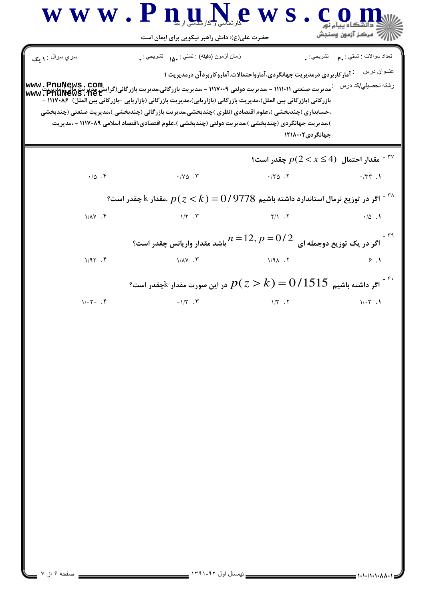| سري سوال : ۱ يک<br>زمان أزمون (دقيقه) : تستي : .1۵۰ تشريحي : .<br><sup>:</sup> آمار کاربردی درمدیریت جهانگردی،آمارواحتمالات،آماروکاربردآن درمدیریت ۱<br>` مدیریت صنعتی ۱۱۱۱۰۱۱ - ،مدیریت دولتی ۱۱۱۷۰۰۹ - ،مدیریت بازرگانی،مدیریت بازرگانی(گرایش مدیریت مالی)،مدیری<br>''معسریت مسینی ۱۱۱۱۰۱۱ - ،مدیریت دولتی ۱۱۱۷۰۰۹ - ،مدیریت بازرگانی،مدیریت بازرگانی(گیست مسین استعمال)<br>بازرگانی (بازرگانی بین الملل)،مدیریت بازرگانی (بازاریابی)،مدیریت بازرگانی (بازاریابی –بازرگانی بین الملل) ۱۱۱۷۰۸۶ –<br>،حسابداری (چندبخشی )،علوم اقتصادی (نظری )چندبخشی،مدیریت بازرگانی (چندبخشی )،مدیریت صنعتی (چندبخشی<br>)،مدیریت جهانگردی (چندبخشی )،مدیریت دولتی (چندبخشی )،علوم اقتصادی،اقتصاد اسلامی ۱۱۱۷۰۸۹ - ،مدیریت<br>$\cdot/\Delta$ .<br>$\cdot$ / Y $\triangle$ . $\Upsilon$<br>.78.7<br>گر در توزیع نرمال استاندارد داشته باشیم $0/9778$ , مقدار $k$ چقدر است $^{-\, \tau_{\rm A}}$<br>$1/\lambda Y$ . ۴<br>$1/\Upsilon$ . $\Upsilon$<br>باشد مقدار واریانس چقدر است؟ $n\,{=}\,12, p\,{=}\,0$ / باشد مقدار وار | تعداد سوالات : تستي : .م         تشريحي : .<br>عنــوان درس<br>رشته تحصبل <i>ي </i> كد درس<br>جهانگردی۲۱۸۰۰۲<br>° مقدار احتمال $p(2 < x \leq 4)$ چقدر است $^{-\, \sf TV}$<br>$\cdot$ /٣٣.1<br>Y/1.7<br>$\cdot/\Delta$ . |
|------------------------------------------------------------------------------------------------------------------------------------------------------------------------------------------------------------------------------------------------------------------------------------------------------------------------------------------------------------------------------------------------------------------------------------------------------------------------------------------------------------------------------------------------------------------------------------------------------------------------------------------------------------------------------------------------------------------------------------------------------------------------------------------------------------------------------------------------------------------------------------------------------------------------------------------------------------------------------------------------------------|------------------------------------------------------------------------------------------------------------------------------------------------------------------------------------------------------------------------|
|                                                                                                                                                                                                                                                                                                                                                                                                                                                                                                                                                                                                                                                                                                                                                                                                                                                                                                                                                                                                            |                                                                                                                                                                                                                        |
|                                                                                                                                                                                                                                                                                                                                                                                                                                                                                                                                                                                                                                                                                                                                                                                                                                                                                                                                                                                                            |                                                                                                                                                                                                                        |
|                                                                                                                                                                                                                                                                                                                                                                                                                                                                                                                                                                                                                                                                                                                                                                                                                                                                                                                                                                                                            |                                                                                                                                                                                                                        |
|                                                                                                                                                                                                                                                                                                                                                                                                                                                                                                                                                                                                                                                                                                                                                                                                                                                                                                                                                                                                            |                                                                                                                                                                                                                        |
|                                                                                                                                                                                                                                                                                                                                                                                                                                                                                                                                                                                                                                                                                                                                                                                                                                                                                                                                                                                                            |                                                                                                                                                                                                                        |
|                                                                                                                                                                                                                                                                                                                                                                                                                                                                                                                                                                                                                                                                                                                                                                                                                                                                                                                                                                                                            |                                                                                                                                                                                                                        |
|                                                                                                                                                                                                                                                                                                                                                                                                                                                                                                                                                                                                                                                                                                                                                                                                                                                                                                                                                                                                            | <sup>۳۹ ۔</sup><br>اگر در یک توزیع دوجمله ای                                                                                                                                                                           |
| 1/97.5<br><b>۲. ۱/۸۷</b><br>$1/9$ $\lambda$ $.7$                                                                                                                                                                                                                                                                                                                                                                                                                                                                                                                                                                                                                                                                                                                                                                                                                                                                                                                                                           | 9.1                                                                                                                                                                                                                    |
| اگر داشته باشیم $0/1515\,$ $p$ $(z\!>\!k)$ در این صورت مقدار $^{\ast}$ چقدر است $^{\ast}$                                                                                                                                                                                                                                                                                                                                                                                                                                                                                                                                                                                                                                                                                                                                                                                                                                                                                                                  |                                                                                                                                                                                                                        |
| $-1/\tau$ . $\tau$<br>$1/T$ . $T$<br>$1/\cdot 7 - .5$                                                                                                                                                                                                                                                                                                                                                                                                                                                                                                                                                                                                                                                                                                                                                                                                                                                                                                                                                      | $1/\cdot 7$ .                                                                                                                                                                                                          |

T

ь  $\mathcal{L}$